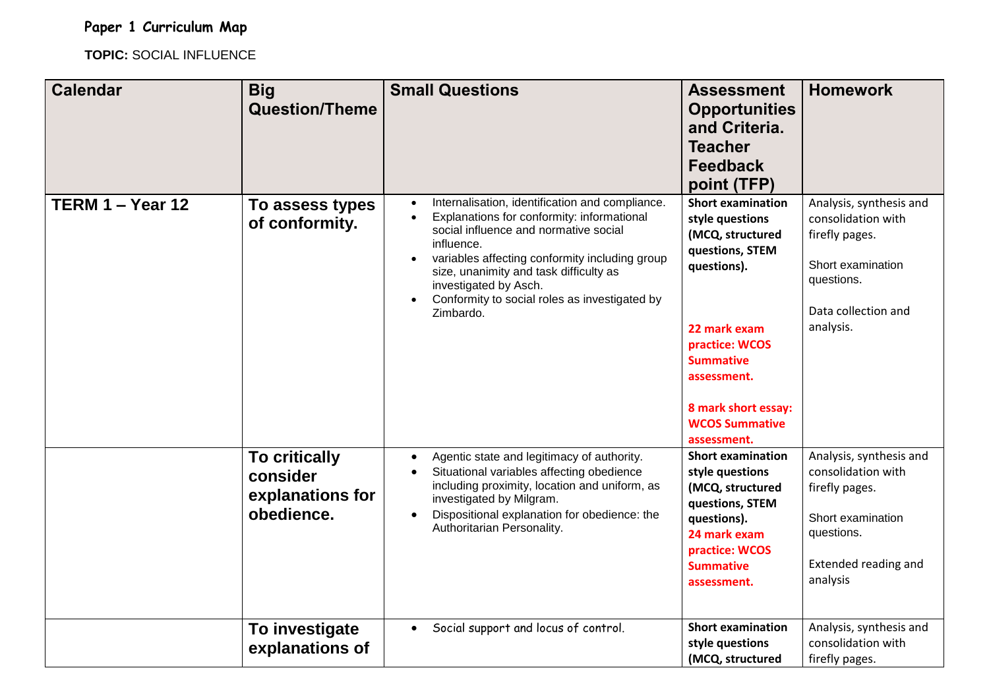**Paper 1 Curriculum Map**

**TOPIC:** SOCIAL INFLUENCE

| <b>Calendar</b>    | <b>Big</b><br><b>Question/Theme</b>                                | <b>Small Questions</b>                                                                                                                                                                                                                                                                                                                  | <b>Assessment</b><br><b>Opportunities</b><br>and Criteria.<br><b>Teacher</b><br><b>Feedback</b><br>point (TFP)                                                                                                                        | <b>Homework</b>                                                                                                                               |
|--------------------|--------------------------------------------------------------------|-----------------------------------------------------------------------------------------------------------------------------------------------------------------------------------------------------------------------------------------------------------------------------------------------------------------------------------------|---------------------------------------------------------------------------------------------------------------------------------------------------------------------------------------------------------------------------------------|-----------------------------------------------------------------------------------------------------------------------------------------------|
| TERM $1 -$ Year 12 | To assess types<br>of conformity.                                  | Internalisation, identification and compliance.<br>Explanations for conformity: informational<br>social influence and normative social<br>influence.<br>variables affecting conformity including group<br>size, unanimity and task difficulty as<br>investigated by Asch.<br>Conformity to social roles as investigated by<br>Zimbardo. | <b>Short examination</b><br>style questions<br>(MCQ, structured<br>questions, STEM<br>questions).<br>22 mark exam<br>practice: WCOS<br><b>Summative</b><br>assessment.<br>8 mark short essay:<br><b>WCOS Summative</b><br>assessment. | Analysis, synthesis and<br>consolidation with<br>firefly pages.<br>Short examination<br>questions.<br>Data collection and<br>analysis.        |
|                    | <b>To critically</b><br>consider<br>explanations for<br>obedience. | Agentic state and legitimacy of authority.<br>$\bullet$<br>Situational variables affecting obedience<br>including proximity, location and uniform, as<br>investigated by Milgram.<br>Dispositional explanation for obedience: the<br>$\bullet$<br>Authoritarian Personality.                                                            | <b>Short examination</b><br>style questions<br>(MCQ, structured<br>questions, STEM<br>questions).<br>24 mark exam<br>practice: WCOS<br><b>Summative</b><br>assessment.                                                                | Analysis, synthesis and<br>consolidation with<br>firefly pages.<br>Short examination<br>questions.<br><b>Extended reading and</b><br>analysis |
|                    | To investigate<br>explanations of                                  | Social support and locus of control.                                                                                                                                                                                                                                                                                                    | <b>Short examination</b><br>style questions<br>(MCQ, structured                                                                                                                                                                       | Analysis, synthesis and<br>consolidation with<br>firefly pages.                                                                               |